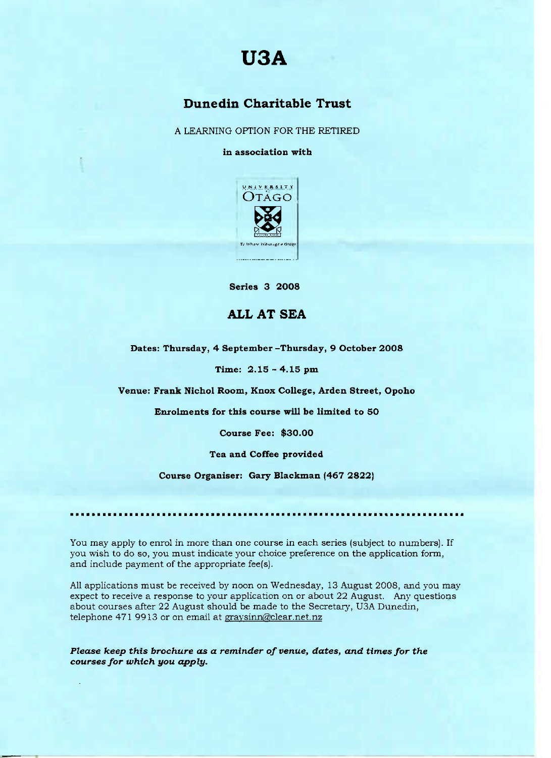## **USA**

## Dunedin **Charitable Trust**

A LEARNING OPTION FOR THE RETIRED

**in association with**



**Series 3 2008**

## **ALL AT SEA**

**Dates: Thursday, 4** September **-Thursday, 9 October 2008**

**Time: 2.15 - 4.15 pm**

**Venue: Frank Nichol** Room, Knox **College, Arden Street, Opoho**

**Enrolments for this course will be limited to 50**

**Course Fee: \$30.00**

**Tea and** Coffee **provided**

**Course Organiser: Gary Blackman (467 2822)**

You may apply to enrol in more than one course in each series (subject to numbers). If you wish to do so, you must indicate your choice preference on the application form, and include payment of the appropriate fee(s).

All applications must be received by noon on Wednesday, 13 August 2008, and you may expect to receive a response to your application on or about 22 August. Any questions about courses after 22 August should be made to the Secretary, USA Dunedin, telephone 471 9913 or on email at graysinn@clear.net.nz

*Please keep this brochure as a reminder of venue,* **dates,** *and times for the courses for which you apply.*